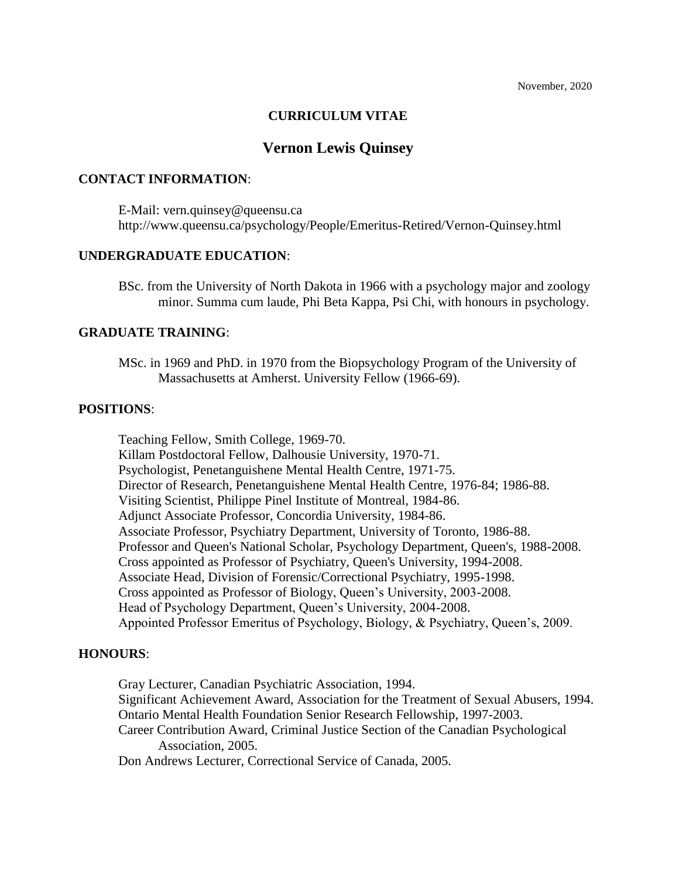# **CURRICULUM VITAE**

# **Vernon Lewis Quinsey**

### **CONTACT INFORMATION**:

E-Mail: vern.quinsey@queensu.ca http://www.queensu.ca/psychology/People/Emeritus-Retired/Vernon-Quinsey.html

## **UNDERGRADUATE EDUCATION**:

BSc. from the University of North Dakota in 1966 with a psychology major and zoology minor. Summa cum laude, Phi Beta Kappa, Psi Chi, with honours in psychology.

## **GRADUATE TRAINING**:

MSc. in 1969 and PhD. in 1970 from the Biopsychology Program of the University of Massachusetts at Amherst. University Fellow (1966-69).

## **POSITIONS**:

Teaching Fellow, Smith College, 1969-70. Killam Postdoctoral Fellow, Dalhousie University, 1970-71. Psychologist, Penetanguishene Mental Health Centre, 1971-75. Director of Research, Penetanguishene Mental Health Centre, 1976-84; 1986-88. Visiting Scientist, Philippe Pinel Institute of Montreal, 1984-86. Adjunct Associate Professor, Concordia University, 1984-86. Associate Professor, Psychiatry Department, University of Toronto, 1986-88. Professor and Queen's National Scholar, Psychology Department, Queen's, 1988-2008. Cross appointed as Professor of Psychiatry, Queen's University, 1994-2008. Associate Head, Division of Forensic/Correctional Psychiatry, 1995-1998. Cross appointed as Professor of Biology, Queen's University, 2003-2008. Head of Psychology Department, Queen's University, 2004-2008. Appointed Professor Emeritus of Psychology, Biology, & Psychiatry, Queen's, 2009.

## **HONOURS**:

Gray Lecturer, Canadian Psychiatric Association, 1994. Significant Achievement Award, Association for the Treatment of Sexual Abusers, 1994. Ontario Mental Health Foundation Senior Research Fellowship, 1997-2003. Career Contribution Award, Criminal Justice Section of the Canadian Psychological Association, 2005. Don Andrews Lecturer, Correctional Service of Canada, 2005.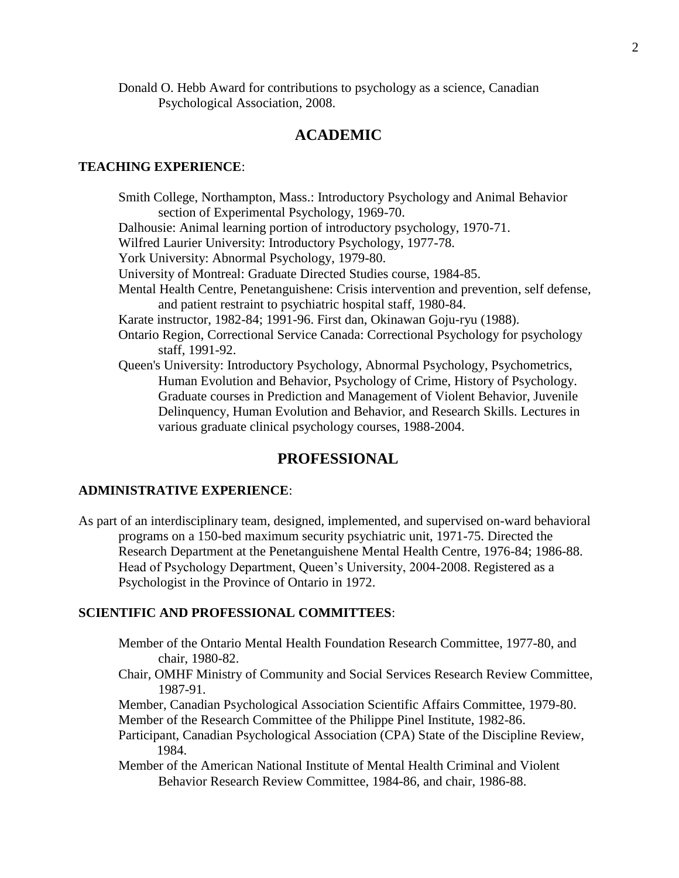Donald O. Hebb Award for contributions to psychology as a science, Canadian Psychological Association, 2008.

# **ACADEMIC**

### **TEACHING EXPERIENCE**:

Smith College, Northampton, Mass.: Introductory Psychology and Animal Behavior section of Experimental Psychology, 1969-70. Dalhousie: Animal learning portion of introductory psychology, 1970-71. Wilfred Laurier University: Introductory Psychology, 1977-78. York University: Abnormal Psychology, 1979-80. University of Montreal: Graduate Directed Studies course, 1984-85. Mental Health Centre, Penetanguishene: Crisis intervention and prevention, self defense, and patient restraint to psychiatric hospital staff, 1980-84. Karate instructor, 1982-84; 1991-96. First dan, Okinawan Goju-ryu (1988). Ontario Region, Correctional Service Canada: Correctional Psychology for psychology staff, 1991-92. Queen's University: Introductory Psychology, Abnormal Psychology, Psychometrics, Human Evolution and Behavior, Psychology of Crime, History of Psychology. Graduate courses in Prediction and Management of Violent Behavior, Juvenile Delinquency, Human Evolution and Behavior, and Research Skills. Lectures in various graduate clinical psychology courses, 1988-2004.

# **PROFESSIONAL**

### **ADMINISTRATIVE EXPERIENCE**:

As part of an interdisciplinary team, designed, implemented, and supervised on-ward behavioral programs on a 150-bed maximum security psychiatric unit, 1971-75. Directed the Research Department at the Penetanguishene Mental Health Centre, 1976-84; 1986-88. Head of Psychology Department, Queen's University, 2004-2008. Registered as a Psychologist in the Province of Ontario in 1972.

#### **SCIENTIFIC AND PROFESSIONAL COMMITTEES**:

- Member of the Ontario Mental Health Foundation Research Committee, 1977-80, and chair, 1980-82.
- Chair, OMHF Ministry of Community and Social Services Research Review Committee, 1987-91.
- Member, Canadian Psychological Association Scientific Affairs Committee, 1979-80. Member of the Research Committee of the Philippe Pinel Institute, 1982-86.
- Participant, Canadian Psychological Association (CPA) State of the Discipline Review, 1984.
- Member of the American National Institute of Mental Health Criminal and Violent Behavior Research Review Committee, 1984-86, and chair, 1986-88.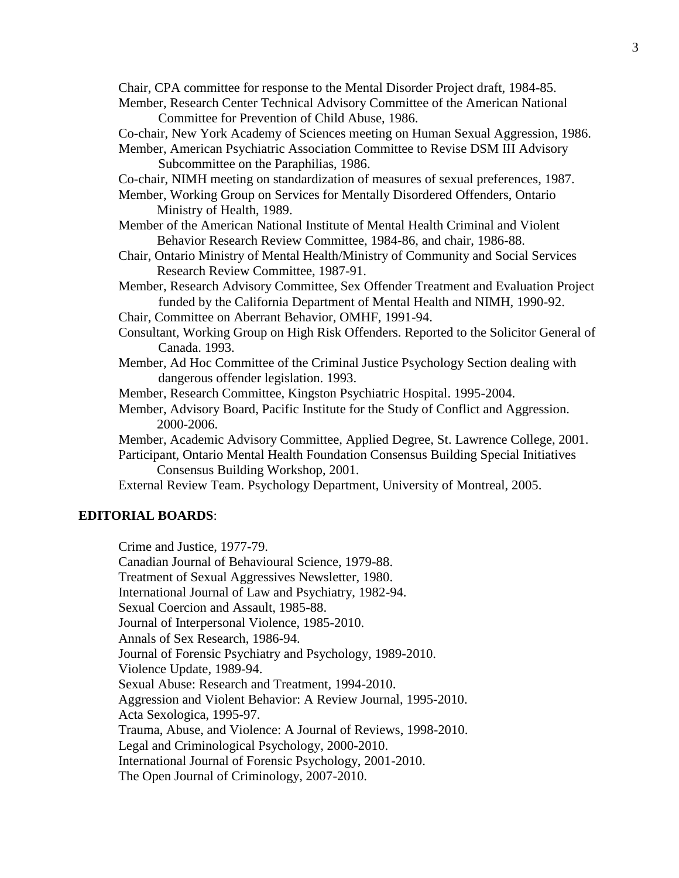Chair, CPA committee for response to the Mental Disorder Project draft, 1984-85. Member, Research Center Technical Advisory Committee of the American National

Committee for Prevention of Child Abuse, 1986.

Co-chair, New York Academy of Sciences meeting on Human Sexual Aggression, 1986. Member, American Psychiatric Association Committee to Revise DSM III Advisory Subcommittee on the Paraphilias, 1986.

Co-chair, NIMH meeting on standardization of measures of sexual preferences, 1987.

Member, Working Group on Services for Mentally Disordered Offenders, Ontario Ministry of Health, 1989.

Member of the American National Institute of Mental Health Criminal and Violent Behavior Research Review Committee, 1984-86, and chair, 1986-88.

Chair, Ontario Ministry of Mental Health/Ministry of Community and Social Services Research Review Committee, 1987-91.

Member, Research Advisory Committee, Sex Offender Treatment and Evaluation Project funded by the California Department of Mental Health and NIMH, 1990-92.

Chair, Committee on Aberrant Behavior, OMHF, 1991-94.

Consultant, Working Group on High Risk Offenders. Reported to the Solicitor General of Canada. 1993.

Member, Ad Hoc Committee of the Criminal Justice Psychology Section dealing with dangerous offender legislation. 1993.

Member, Research Committee, Kingston Psychiatric Hospital. 1995-2004.

Member, Advisory Board, Pacific Institute for the Study of Conflict and Aggression. 2000-2006.

Member, Academic Advisory Committee, Applied Degree, St. Lawrence College, 2001.

Participant, Ontario Mental Health Foundation Consensus Building Special Initiatives Consensus Building Workshop, 2001.

External Review Team. Psychology Department, University of Montreal, 2005.

### **EDITORIAL BOARDS**:

Crime and Justice, 1977-79. Canadian Journal of Behavioural Science, 1979-88.

Treatment of Sexual Aggressives Newsletter, 1980.

International Journal of Law and Psychiatry, 1982-94.

Sexual Coercion and Assault, 1985-88.

Journal of Interpersonal Violence, 1985-2010.

Annals of Sex Research, 1986-94.

Journal of Forensic Psychiatry and Psychology, 1989-2010.

Violence Update, 1989-94.

Sexual Abuse: Research and Treatment, 1994-2010.

Aggression and Violent Behavior: A Review Journal, 1995-2010. Acta Sexologica, 1995-97.

Trauma, Abuse, and Violence: A Journal of Reviews, 1998-2010.

Legal and Criminological Psychology, 2000-2010.

International Journal of Forensic Psychology, 2001-2010.

The Open Journal of Criminology, 2007-2010.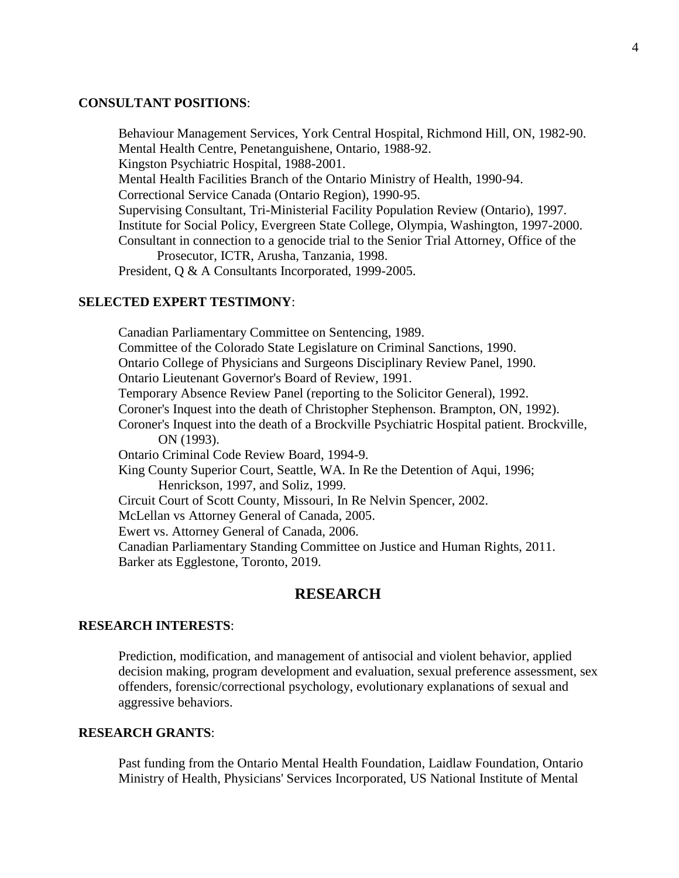### **CONSULTANT POSITIONS**:

Behaviour Management Services, York Central Hospital, Richmond Hill, ON, 1982-90. Mental Health Centre, Penetanguishene, Ontario, 1988-92. Kingston Psychiatric Hospital, 1988-2001. Mental Health Facilities Branch of the Ontario Ministry of Health, 1990-94. Correctional Service Canada (Ontario Region), 1990-95. Supervising Consultant, Tri-Ministerial Facility Population Review (Ontario), 1997. Institute for Social Policy, Evergreen State College, Olympia, Washington, 1997-2000. Consultant in connection to a genocide trial to the Senior Trial Attorney, Office of the Prosecutor, ICTR, Arusha, Tanzania, 1998. President, Q & A Consultants Incorporated, 1999-2005.

# **SELECTED EXPERT TESTIMONY**:

Canadian Parliamentary Committee on Sentencing, 1989. Committee of the Colorado State Legislature on Criminal Sanctions, 1990. Ontario College of Physicians and Surgeons Disciplinary Review Panel, 1990. Ontario Lieutenant Governor's Board of Review, 1991. Temporary Absence Review Panel (reporting to the Solicitor General), 1992. Coroner's Inquest into the death of Christopher Stephenson. Brampton, ON, 1992). Coroner's Inquest into the death of a Brockville Psychiatric Hospital patient. Brockville, ON (1993). Ontario Criminal Code Review Board, 1994-9. King County Superior Court, Seattle, WA. In Re the Detention of Aqui, 1996; Henrickson, 1997, and Soliz, 1999. Circuit Court of Scott County, Missouri, In Re Nelvin Spencer, 2002. McLellan vs Attorney General of Canada, 2005. Ewert vs. Attorney General of Canada, 2006. Canadian Parliamentary Standing Committee on Justice and Human Rights, 2011. Barker ats Egglestone, Toronto, 2019.

# **RESEARCH**

### **RESEARCH INTERESTS**:

Prediction, modification, and management of antisocial and violent behavior, applied decision making, program development and evaluation, sexual preference assessment, sex offenders, forensic/correctional psychology, evolutionary explanations of sexual and aggressive behaviors.

# **RESEARCH GRANTS**:

Past funding from the Ontario Mental Health Foundation, Laidlaw Foundation, Ontario Ministry of Health, Physicians' Services Incorporated, US National Institute of Mental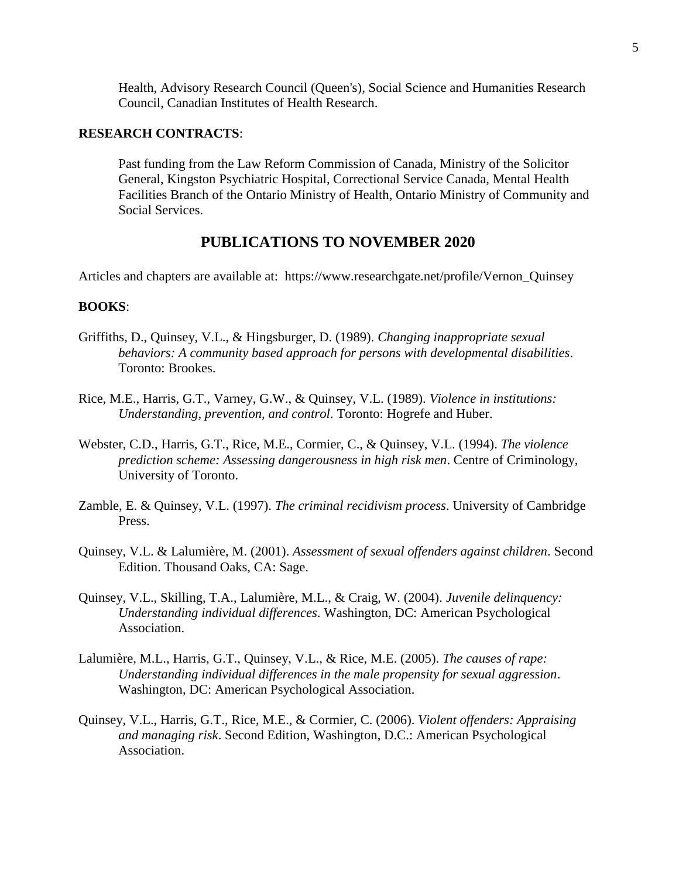Health, Advisory Research Council (Queen's), Social Science and Humanities Research Council, Canadian Institutes of Health Research.

### **RESEARCH CONTRACTS**:

Past funding from the Law Reform Commission of Canada, Ministry of the Solicitor General, Kingston Psychiatric Hospital, Correctional Service Canada, Mental Health Facilities Branch of the Ontario Ministry of Health, Ontario Ministry of Community and Social Services.

# **PUBLICATIONS TO NOVEMBER 2020**

Articles and chapters are available at: https://www.researchgate.net/profile/Vernon\_Quinsey

## **BOOKS**:

- Griffiths, D., Quinsey, V.L., & Hingsburger, D. (1989). *Changing inappropriate sexual behaviors: A community based approach for persons with developmental disabilities*. Toronto: Brookes.
- Rice, M.E., Harris, G.T., Varney, G.W., & Quinsey, V.L. (1989). *Violence in institutions: Understanding, prevention, and control*. Toronto: Hogrefe and Huber.
- Webster, C.D., Harris, G.T., Rice, M.E., Cormier, C., & Quinsey, V.L. (1994). *The violence prediction scheme: Assessing dangerousness in high risk men*. Centre of Criminology, University of Toronto.
- Zamble, E. & Quinsey, V.L. (1997). *The criminal recidivism process*. University of Cambridge Press.
- Quinsey, V.L. & Lalumière, M. (2001). *Assessment of sexual offenders against children*. Second Edition. Thousand Oaks, CA: Sage.
- Quinsey, V.L., Skilling, T.A., Lalumière, M.L., & Craig, W. (2004). *Juvenile delinquency: Understanding individual differences*. Washington, DC: American Psychological Association.
- Lalumière, M.L., Harris, G.T., Quinsey, V.L., & Rice, M.E. (2005). *The causes of rape: Understanding individual differences in the male propensity for sexual aggression*. Washington, DC: American Psychological Association.
- Quinsey, V.L., Harris, G.T., Rice, M.E., & Cormier, C. (2006). *Violent offenders: Appraising and managing risk*. Second Edition, Washington, D.C.: American Psychological Association.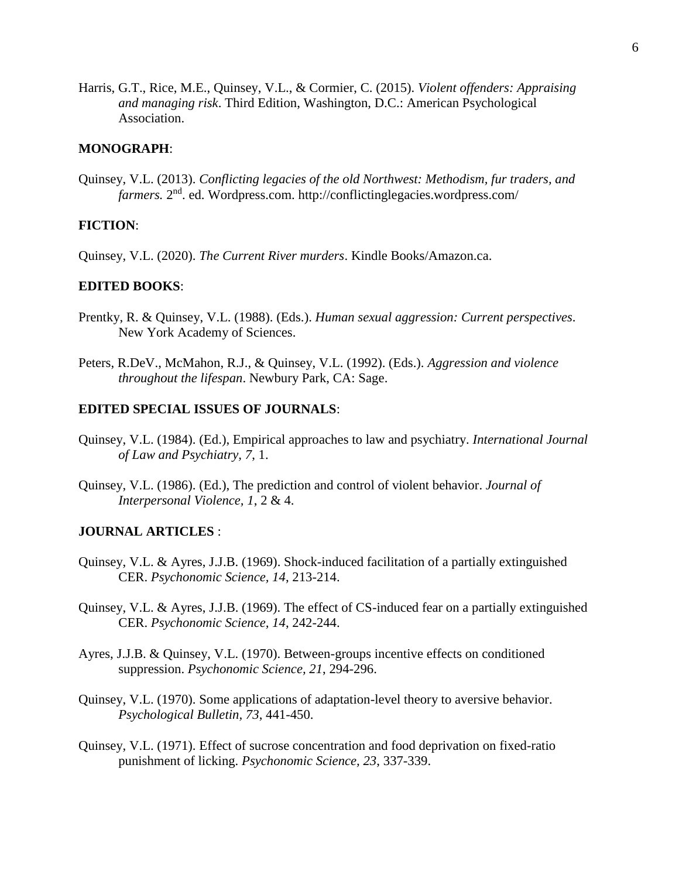Harris, G.T., Rice, M.E., Quinsey, V.L., & Cormier, C. (2015). *Violent offenders: Appraising and managing risk*. Third Edition, Washington, D.C.: American Psychological Association.

### **MONOGRAPH**:

Quinsey, V.L. (2013). *Conflicting legacies of the old Northwest: Methodism, fur traders, and*  farmers. 2<sup>nd</sup>. ed. Wordpress.com. http://conflictinglegacies.wordpress.com/

# **FICTION**:

Quinsey, V.L. (2020). *The Current River murders*. Kindle Books/Amazon.ca.

#### **EDITED BOOKS**:

- Prentky, R. & Quinsey, V.L. (1988). (Eds.). *Human sexual aggression: Current perspectives*. New York Academy of Sciences.
- Peters, R.DeV., McMahon, R.J., & Quinsey, V.L. (1992). (Eds.). *Aggression and violence throughout the lifespan*. Newbury Park, CA: Sage.

#### **EDITED SPECIAL ISSUES OF JOURNALS**:

- Quinsey, V.L. (1984). (Ed.), Empirical approaches to law and psychiatry. *International Journal of Law and Psychiatry, 7*, 1.
- Quinsey, V.L. (1986). (Ed.), The prediction and control of violent behavior. *Journal of Interpersonal Violence, 1*, 2 & 4.

## **JOURNAL ARTICLES** :

- Quinsey, V.L. & Ayres, J.J.B. (1969). Shock-induced facilitation of a partially extinguished CER. *Psychonomic Science, 14*, 213-214.
- Quinsey, V.L. & Ayres, J.J.B. (1969). The effect of CS-induced fear on a partially extinguished CER. *Psychonomic Science, 14*, 242-244.
- Ayres, J.J.B. & Quinsey, V.L. (1970). Between-groups incentive effects on conditioned suppression. *Psychonomic Science, 21*, 294-296.
- Quinsey, V.L. (1970). Some applications of adaptation-level theory to aversive behavior. *Psychological Bulletin, 73*, 441-450.
- Quinsey, V.L. (1971). Effect of sucrose concentration and food deprivation on fixed-ratio punishment of licking. *Psychonomic Science, 23*, 337-339.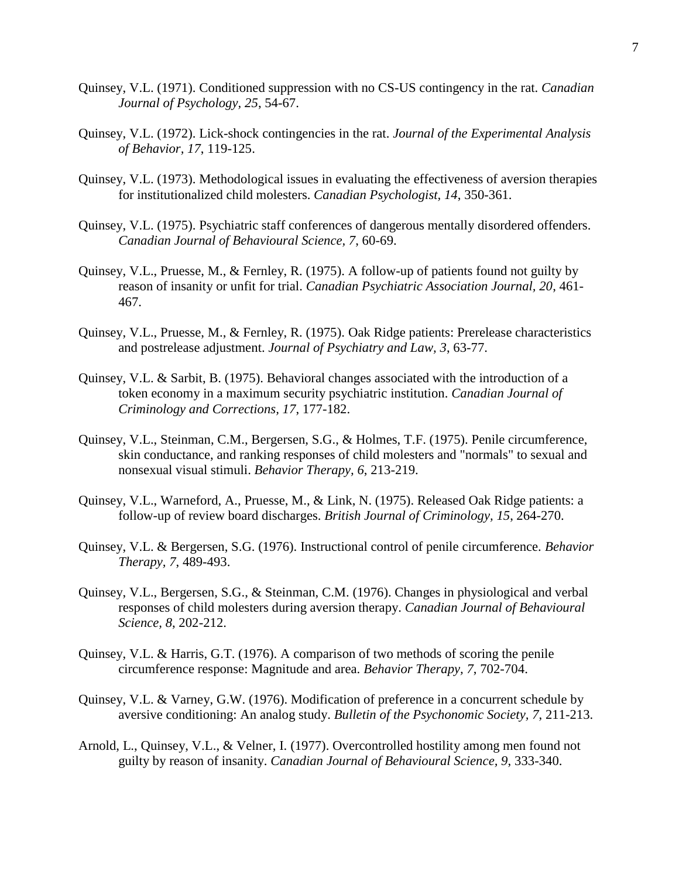- Quinsey, V.L. (1971). Conditioned suppression with no CS-US contingency in the rat. *Canadian Journal of Psychology, 25*, 54-67.
- Quinsey, V.L. (1972). Lick-shock contingencies in the rat. *Journal of the Experimental Analysis of Behavior, 17*, 119-125.
- Quinsey, V.L. (1973). Methodological issues in evaluating the effectiveness of aversion therapies for institutionalized child molesters. *Canadian Psychologist, 14*, 350-361.
- Quinsey, V.L. (1975). Psychiatric staff conferences of dangerous mentally disordered offenders. *Canadian Journal of Behavioural Science, 7*, 60-69.
- Quinsey, V.L., Pruesse, M., & Fernley, R. (1975). A follow-up of patients found not guilty by reason of insanity or unfit for trial. *Canadian Psychiatric Association Journal, 20*, 461- 467.
- Quinsey, V.L., Pruesse, M., & Fernley, R. (1975). Oak Ridge patients: Prerelease characteristics and postrelease adjustment. *Journal of Psychiatry and Law, 3*, 63-77.
- Quinsey, V.L. & Sarbit, B. (1975). Behavioral changes associated with the introduction of a token economy in a maximum security psychiatric institution. *Canadian Journal of Criminology and Corrections, 17*, 177-182.
- Quinsey, V.L., Steinman, C.M., Bergersen, S.G., & Holmes, T.F. (1975). Penile circumference, skin conductance, and ranking responses of child molesters and "normals" to sexual and nonsexual visual stimuli. *Behavior Therapy, 6*, 213-219.
- Quinsey, V.L., Warneford, A., Pruesse, M., & Link, N. (1975). Released Oak Ridge patients: a follow-up of review board discharges. *British Journal of Criminology, 15*, 264-270.
- Quinsey, V.L. & Bergersen, S.G. (1976). Instructional control of penile circumference. *Behavior Therapy, 7*, 489-493.
- Quinsey, V.L., Bergersen, S.G., & Steinman, C.M. (1976). Changes in physiological and verbal responses of child molesters during aversion therapy. *Canadian Journal of Behavioural Science, 8*, 202-212.
- Quinsey, V.L. & Harris, G.T. (1976). A comparison of two methods of scoring the penile circumference response: Magnitude and area. *Behavior Therapy, 7*, 702-704.
- Quinsey, V.L. & Varney, G.W. (1976). Modification of preference in a concurrent schedule by aversive conditioning: An analog study. *Bulletin of the Psychonomic Society, 7*, 211-213.
- Arnold, L., Quinsey, V.L., & Velner, I. (1977). Overcontrolled hostility among men found not guilty by reason of insanity. *Canadian Journal of Behavioural Science, 9*, 333-340.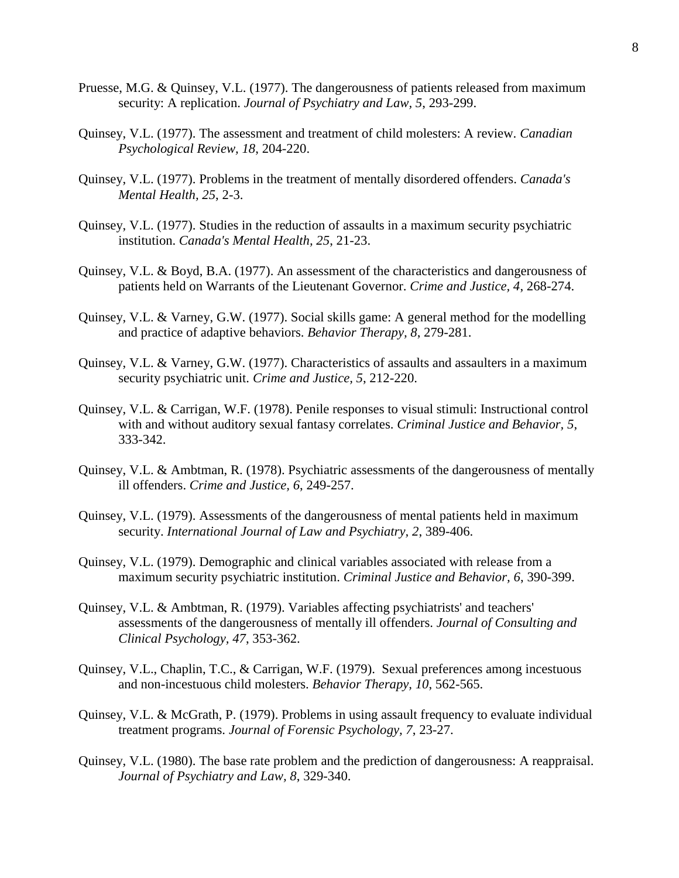- Pruesse, M.G. & Quinsey, V.L. (1977). The dangerousness of patients released from maximum security: A replication. *Journal of Psychiatry and Law, 5*, 293-299.
- Quinsey, V.L. (1977). The assessment and treatment of child molesters: A review. *Canadian Psychological Review, 18*, 204-220.
- Quinsey, V.L. (1977). Problems in the treatment of mentally disordered offenders. *Canada's Mental Health, 25*, 2-3.
- Quinsey, V.L. (1977). Studies in the reduction of assaults in a maximum security psychiatric institution. *Canada's Mental Health, 25*, 21-23.
- Quinsey, V.L. & Boyd, B.A. (1977). An assessment of the characteristics and dangerousness of patients held on Warrants of the Lieutenant Governor. *Crime and Justice, 4*, 268-274.
- Quinsey, V.L. & Varney, G.W. (1977). Social skills game: A general method for the modelling and practice of adaptive behaviors. *Behavior Therapy, 8*, 279-281.
- Quinsey, V.L. & Varney, G.W. (1977). Characteristics of assaults and assaulters in a maximum security psychiatric unit. *Crime and Justice, 5*, 212-220.
- Quinsey, V.L. & Carrigan, W.F. (1978). Penile responses to visual stimuli: Instructional control with and without auditory sexual fantasy correlates. *Criminal Justice and Behavior, 5*, 333-342.
- Quinsey, V.L. & Ambtman, R. (1978). Psychiatric assessments of the dangerousness of mentally ill offenders. *Crime and Justice, 6*, 249-257.
- Quinsey, V.L. (1979). Assessments of the dangerousness of mental patients held in maximum security. *International Journal of Law and Psychiatry, 2*, 389-406.
- Quinsey, V.L. (1979). Demographic and clinical variables associated with release from a maximum security psychiatric institution. *Criminal Justice and Behavior, 6*, 390-399.
- Quinsey, V.L. & Ambtman, R. (1979). Variables affecting psychiatrists' and teachers' assessments of the dangerousness of mentally ill offenders. *Journal of Consulting and Clinical Psychology, 47*, 353-362.
- Quinsey, V.L., Chaplin, T.C., & Carrigan, W.F. (1979). Sexual preferences among incestuous and non-incestuous child molesters. *Behavior Therapy, 10*, 562-565.
- Quinsey, V.L. & McGrath, P. (1979). Problems in using assault frequency to evaluate individual treatment programs. *Journal of Forensic Psychology, 7*, 23-27.
- Quinsey, V.L. (1980). The base rate problem and the prediction of dangerousness: A reappraisal. *Journal of Psychiatry and Law, 8*, 329-340.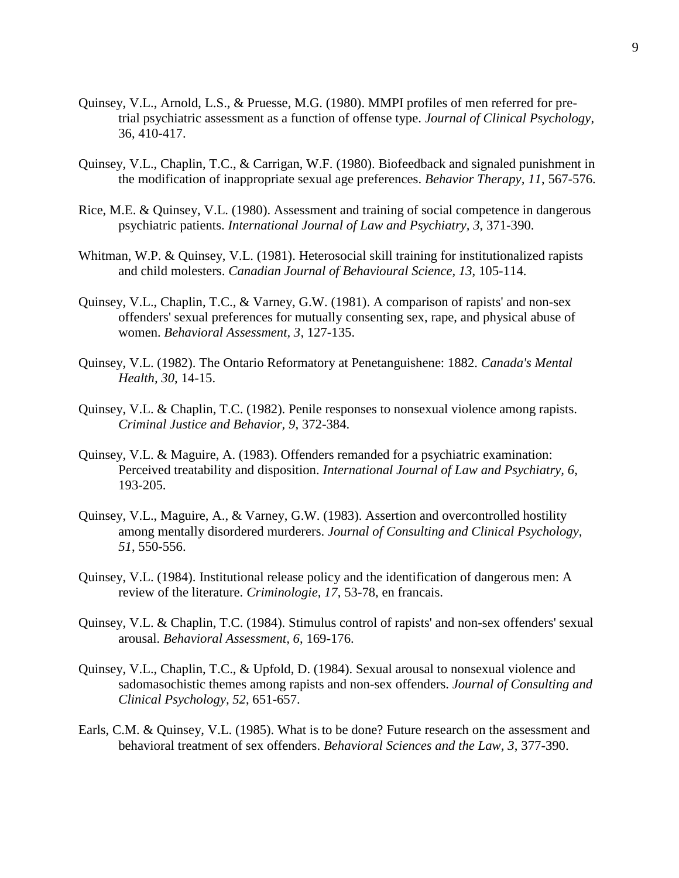- Quinsey, V.L., Arnold, L.S., & Pruesse, M.G. (1980). MMPI profiles of men referred for pretrial psychiatric assessment as a function of offense type. *Journal of Clinical Psychology*, 36, 410-417.
- Quinsey, V.L., Chaplin, T.C., & Carrigan, W.F. (1980). Biofeedback and signaled punishment in the modification of inappropriate sexual age preferences. *Behavior Therapy, 11*, 567-576.
- Rice, M.E. & Quinsey, V.L. (1980). Assessment and training of social competence in dangerous psychiatric patients. *International Journal of Law and Psychiatry, 3*, 371-390.
- Whitman, W.P. & Quinsey, V.L. (1981). Heterosocial skill training for institutionalized rapists and child molesters. *Canadian Journal of Behavioural Science, 13*, 105-114.
- Quinsey, V.L., Chaplin, T.C., & Varney, G.W. (1981). A comparison of rapists' and non-sex offenders' sexual preferences for mutually consenting sex, rape, and physical abuse of women. *Behavioral Assessment, 3*, 127-135.
- Quinsey, V.L. (1982). The Ontario Reformatory at Penetanguishene: 1882. *Canada's Mental Health, 30*, 14-15.
- Quinsey, V.L. & Chaplin, T.C. (1982). Penile responses to nonsexual violence among rapists. *Criminal Justice and Behavior, 9*, 372-384.
- Quinsey, V.L. & Maguire, A. (1983). Offenders remanded for a psychiatric examination: Perceived treatability and disposition. *International Journal of Law and Psychiatry, 6*, 193-205.
- Quinsey, V.L., Maguire, A., & Varney, G.W. (1983). Assertion and overcontrolled hostility among mentally disordered murderers. *Journal of Consulting and Clinical Psychology, 51*, 550-556.
- Quinsey, V.L. (1984). Institutional release policy and the identification of dangerous men: A review of the literature. *Criminologie, 17*, 53-78, en francais.
- Quinsey, V.L. & Chaplin, T.C. (1984). Stimulus control of rapists' and non-sex offenders' sexual arousal. *Behavioral Assessment, 6*, 169-176.
- Quinsey, V.L., Chaplin, T.C., & Upfold, D. (1984). Sexual arousal to nonsexual violence and sadomasochistic themes among rapists and non-sex offenders. *Journal of Consulting and Clinical Psychology, 52*, 651-657.
- Earls, C.M. & Quinsey, V.L. (1985). What is to be done? Future research on the assessment and behavioral treatment of sex offenders. *Behavioral Sciences and the Law, 3*, 377-390.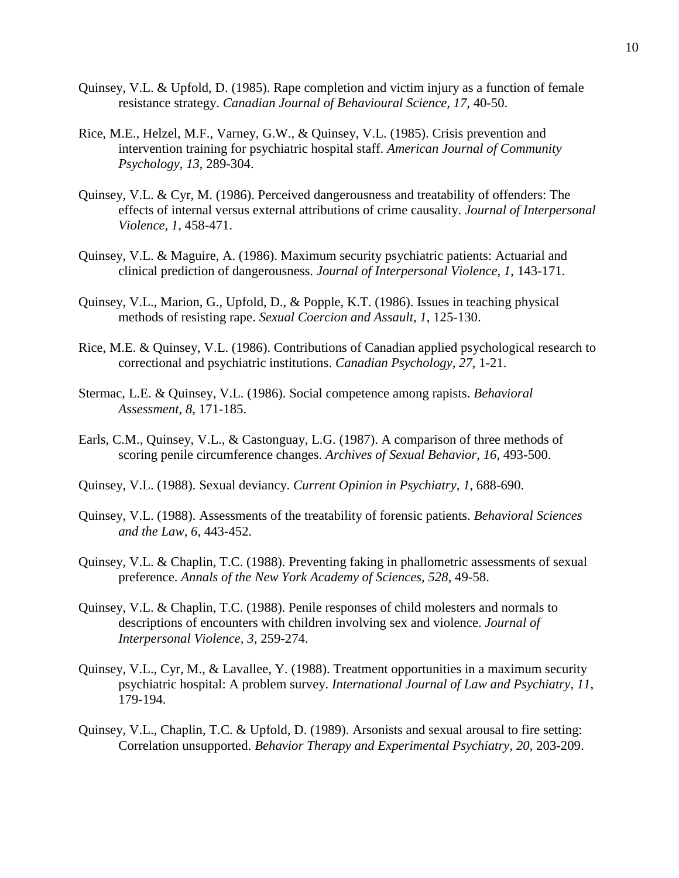- Quinsey, V.L. & Upfold, D. (1985). Rape completion and victim injury as a function of female resistance strategy. *Canadian Journal of Behavioural Science, 17*, 40-50.
- Rice, M.E., Helzel, M.F., Varney, G.W., & Quinsey, V.L. (1985). Crisis prevention and intervention training for psychiatric hospital staff. *American Journal of Community Psychology, 13*, 289-304.
- Quinsey, V.L. & Cyr, M. (1986). Perceived dangerousness and treatability of offenders: The effects of internal versus external attributions of crime causality. *Journal of Interpersonal Violence, 1*, 458-471.
- Quinsey, V.L. & Maguire, A. (1986). Maximum security psychiatric patients: Actuarial and clinical prediction of dangerousness. *Journal of Interpersonal Violence, 1*, 143-171.
- Quinsey, V.L., Marion, G., Upfold, D., & Popple, K.T. (1986). Issues in teaching physical methods of resisting rape. *Sexual Coercion and Assault, 1*, 125-130.
- Rice, M.E. & Quinsey, V.L. (1986). Contributions of Canadian applied psychological research to correctional and psychiatric institutions. *Canadian Psychology, 27*, 1-21.
- Stermac, L.E. & Quinsey, V.L. (1986). Social competence among rapists. *Behavioral Assessment, 8*, 171-185.
- Earls, C.M., Quinsey, V.L., & Castonguay, L.G. (1987). A comparison of three methods of scoring penile circumference changes. *Archives of Sexual Behavior, 16*, 493-500.
- Quinsey, V.L. (1988). Sexual deviancy. *Current Opinion in Psychiatry, 1*, 688-690.
- Quinsey, V.L. (1988). Assessments of the treatability of forensic patients. *Behavioral Sciences and the Law, 6*, 443-452.
- Quinsey, V.L. & Chaplin, T.C. (1988). Preventing faking in phallometric assessments of sexual preference. *Annals of the New York Academy of Sciences, 528*, 49-58.
- Quinsey, V.L. & Chaplin, T.C. (1988). Penile responses of child molesters and normals to descriptions of encounters with children involving sex and violence. *Journal of Interpersonal Violence, 3*, 259-274.
- Quinsey, V.L., Cyr, M., & Lavallee, Y. (1988). Treatment opportunities in a maximum security psychiatric hospital: A problem survey. *International Journal of Law and Psychiatry, 11*, 179-194.
- Quinsey, V.L., Chaplin, T.C. & Upfold, D. (1989). Arsonists and sexual arousal to fire setting: Correlation unsupported. *Behavior Therapy and Experimental Psychiatry, 20*, 203-209.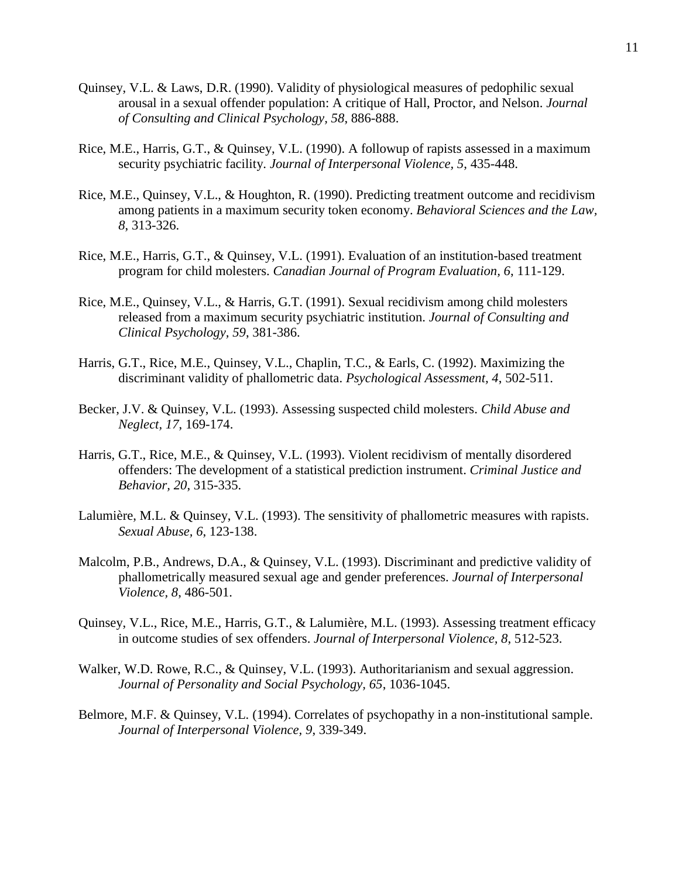- Quinsey, V.L. & Laws, D.R. (1990). Validity of physiological measures of pedophilic sexual arousal in a sexual offender population: A critique of Hall, Proctor, and Nelson. *Journal of Consulting and Clinical Psychology, 58*, 886-888.
- Rice, M.E., Harris, G.T., & Quinsey, V.L. (1990). A followup of rapists assessed in a maximum security psychiatric facility. *Journal of Interpersonal Violence, 5*, 435-448.
- Rice, M.E., Quinsey, V.L., & Houghton, R. (1990). Predicting treatment outcome and recidivism among patients in a maximum security token economy. *Behavioral Sciences and the Law, 8*, 313-326.
- Rice, M.E., Harris, G.T., & Quinsey, V.L. (1991). Evaluation of an institution-based treatment program for child molesters. *Canadian Journal of Program Evaluation, 6*, 111-129.
- Rice, M.E., Quinsey, V.L., & Harris, G.T. (1991). Sexual recidivism among child molesters released from a maximum security psychiatric institution. *Journal of Consulting and Clinical Psychology, 59*, 381-386.
- Harris, G.T., Rice, M.E., Quinsey, V.L., Chaplin, T.C., & Earls, C. (1992). Maximizing the discriminant validity of phallometric data. *Psychological Assessment, 4*, 502-511.
- Becker, J.V. & Quinsey, V.L. (1993). Assessing suspected child molesters. *Child Abuse and Neglect, 17*, 169-174.
- Harris, G.T., Rice, M.E., & Quinsey, V.L. (1993). Violent recidivism of mentally disordered offenders: The development of a statistical prediction instrument. *Criminal Justice and Behavior, 20*, 315-335.
- Lalumière, M.L. & Quinsey, V.L. (1993). The sensitivity of phallometric measures with rapists. *Sexual Abuse, 6*, 123-138.
- Malcolm, P.B., Andrews, D.A., & Quinsey, V.L. (1993). Discriminant and predictive validity of phallometrically measured sexual age and gender preferences. *Journal of Interpersonal Violence, 8*, 486-501.
- Quinsey, V.L., Rice, M.E., Harris, G.T., & Lalumière, M.L. (1993). Assessing treatment efficacy in outcome studies of sex offenders. *Journal of Interpersonal Violence, 8*, 512-523.
- Walker, W.D. Rowe, R.C., & Quinsey, V.L. (1993). Authoritarianism and sexual aggression. *Journal of Personality and Social Psychology, 65*, 1036-1045.
- Belmore, M.F. & Quinsey, V.L. (1994). Correlates of psychopathy in a non-institutional sample. *Journal of Interpersonal Violence, 9*, 339-349.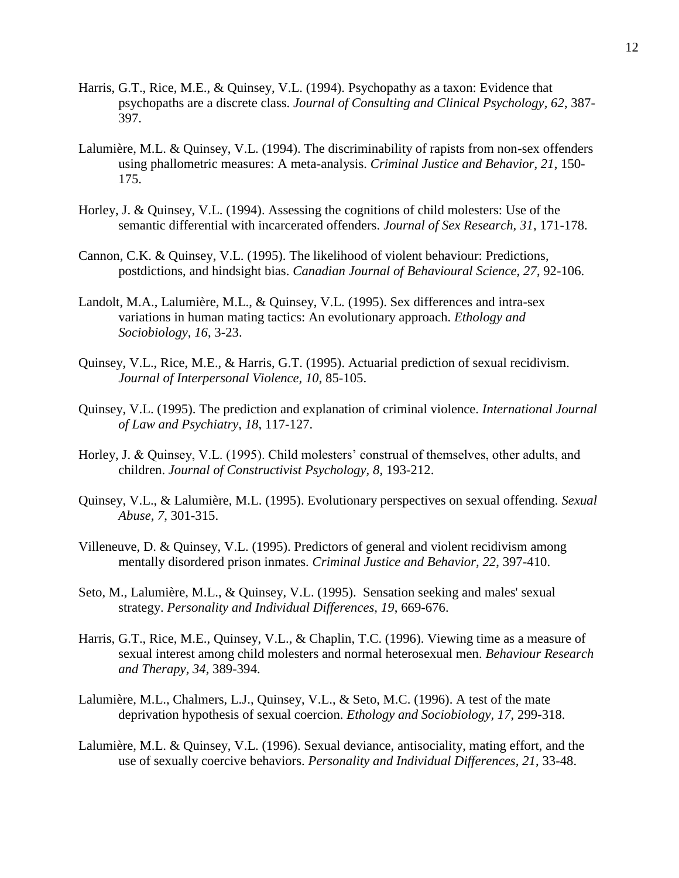- Harris, G.T., Rice, M.E., & Quinsey, V.L. (1994). Psychopathy as a taxon: Evidence that psychopaths are a discrete class. *Journal of Consulting and Clinical Psychology, 62*, 387- 397.
- Lalumière, M.L. & Quinsey, V.L. (1994). The discriminability of rapists from non-sex offenders using phallometric measures: A meta-analysis. *Criminal Justice and Behavior, 21*, 150- 175.
- Horley, J. & Quinsey, V.L. (1994). Assessing the cognitions of child molesters: Use of the semantic differential with incarcerated offenders. *Journal of Sex Research, 31*, 171-178.
- Cannon, C.K. & Quinsey, V.L. (1995). The likelihood of violent behaviour: Predictions, postdictions, and hindsight bias. *Canadian Journal of Behavioural Science, 27*, 92-106.
- Landolt, M.A., Lalumière, M.L., & Quinsey, V.L. (1995). Sex differences and intra-sex variations in human mating tactics: An evolutionary approach. *Ethology and Sociobiology, 16*, 3-23.
- Quinsey, V.L., Rice, M.E., & Harris, G.T. (1995). Actuarial prediction of sexual recidivism. *Journal of Interpersonal Violence, 10*, 85-105.
- Quinsey, V.L. (1995). The prediction and explanation of criminal violence. *International Journal of Law and Psychiatry, 18*, 117-127.
- Horley, J. & Quinsey, V.L. (1995). Child molesters' construal of themselves, other adults, and children. *Journal of Constructivist Psychology, 8*, 193-212.
- Quinsey, V.L., & Lalumière, M.L. (1995). Evolutionary perspectives on sexual offending. *Sexual Abuse, 7*, 301-315.
- Villeneuve, D. & Quinsey, V.L. (1995). Predictors of general and violent recidivism among mentally disordered prison inmates. *Criminal Justice and Behavior, 22*, 397-410.
- Seto, M., Lalumière, M.L., & Quinsey, V.L. (1995). Sensation seeking and males' sexual strategy. *Personality and Individual Differences, 19*, 669-676.
- Harris, G.T., Rice, M.E., Quinsey, V.L., & Chaplin, T.C. (1996). Viewing time as a measure of sexual interest among child molesters and normal heterosexual men. *Behaviour Research and Therapy, 34,* 389-394.
- Lalumière, M.L., Chalmers, L.J., Quinsey, V.L., & Seto, M.C. (1996). A test of the mate deprivation hypothesis of sexual coercion. *Ethology and Sociobiology, 17*, 299-318.
- Lalumière, M.L. & Quinsey, V.L. (1996). Sexual deviance, antisociality, mating effort, and the use of sexually coercive behaviors. *Personality and Individual Differences, 21*, 33-48.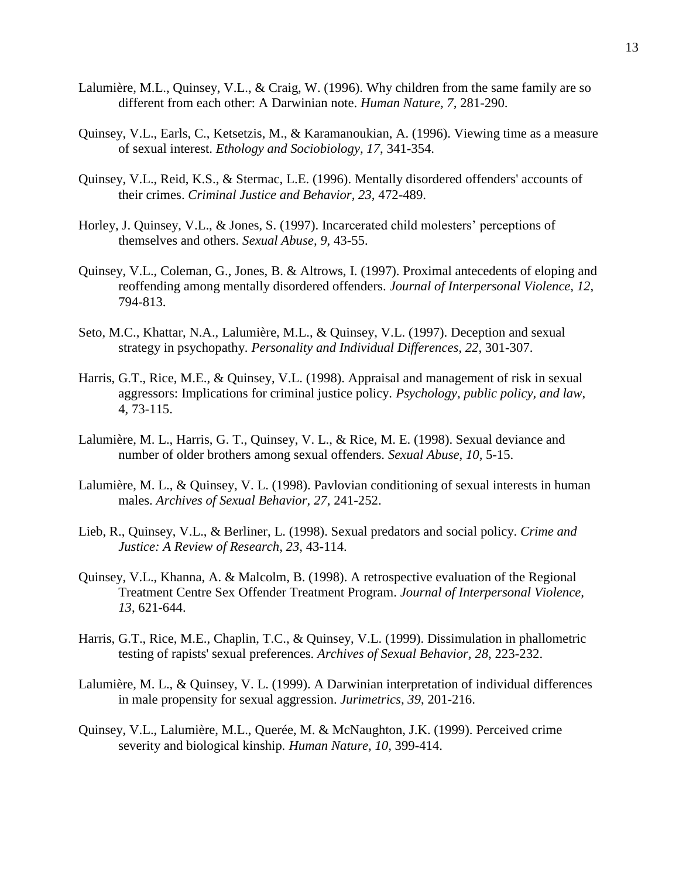- Lalumière, M.L., Quinsey, V.L., & Craig, W. (1996). Why children from the same family are so different from each other: A Darwinian note. *Human Nature, 7,* 281-290.
- Quinsey, V.L., Earls, C., Ketsetzis, M., & Karamanoukian, A. (1996). Viewing time as a measure of sexual interest. *Ethology and Sociobiology, 17*, 341-354.
- Quinsey, V.L., Reid, K.S., & Stermac, L.E. (1996). Mentally disordered offenders' accounts of their crimes. *Criminal Justice and Behavior, 23,* 472-489.
- Horley, J. Quinsey, V.L., & Jones, S. (1997). Incarcerated child molesters' perceptions of themselves and others. *Sexual Abuse, 9*, 43-55.
- Quinsey, V.L., Coleman, G., Jones, B. & Altrows, I. (1997). Proximal antecedents of eloping and reoffending among mentally disordered offenders. *Journal of Interpersonal Violence, 12*, 794-813.
- Seto, M.C., Khattar, N.A., Lalumière, M.L., & Quinsey, V.L. (1997). Deception and sexual strategy in psychopathy. *Personality and Individual Differences, 22*, 301-307.
- Harris, G.T., Rice, M.E., & Quinsey, V.L. (1998). Appraisal and management of risk in sexual aggressors: Implications for criminal justice policy. *Psychology, public policy, and law*, 4, 73-115.
- Lalumière, M. L., Harris, G. T., Quinsey, V. L., & Rice, M. E. (1998). Sexual deviance and number of older brothers among sexual offenders. *Sexual Abuse, 10,* 5-15.
- Lalumière, M. L., & Quinsey, V. L. (1998). Pavlovian conditioning of sexual interests in human males. *Archives of Sexual Behavior, 27*, 241-252.
- Lieb, R., Quinsey, V.L., & Berliner, L. (1998). Sexual predators and social policy. *Crime and Justice: A Review of Research, 23,* 43-114.
- Quinsey, V.L., Khanna, A. & Malcolm, B. (1998). A retrospective evaluation of the Regional Treatment Centre Sex Offender Treatment Program. *Journal of Interpersonal Violence, 13*, 621-644.
- Harris, G.T., Rice, M.E., Chaplin, T.C., & Quinsey, V.L. (1999). Dissimulation in phallometric testing of rapists' sexual preferences. *Archives of Sexual Behavior, 28*, 223-232.
- Lalumière, M. L., & Quinsey, V. L. (1999). A Darwinian interpretation of individual differences in male propensity for sexual aggression. *Jurimetrics, 39*, 201-216.
- Quinsey, V.L., Lalumière, M.L., Querée, M. & McNaughton, J.K. (1999). Perceived crime severity and biological kinship*. Human Nature, 10,* 399-414.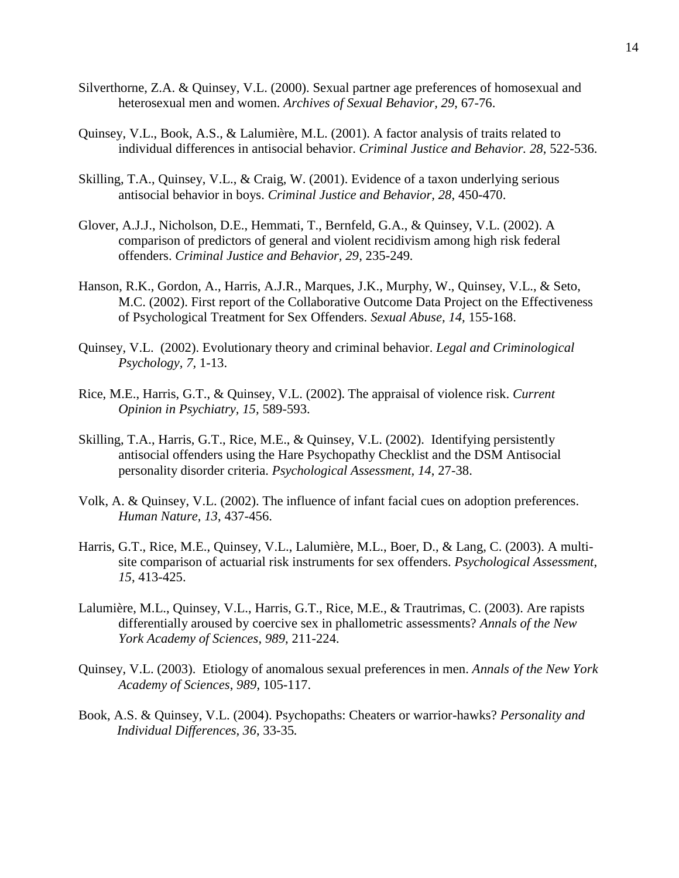- Silverthorne, Z.A. & Quinsey, V.L. (2000). Sexual partner age preferences of homosexual and heterosexual men and women. *Archives of Sexual Behavior, 29*, 67-76.
- Quinsey, V.L., Book, A.S., & Lalumière, M.L. (2001). A factor analysis of traits related to individual differences in antisocial behavior. *Criminal Justice and Behavior. 28*, 522-536.
- Skilling, T.A., Quinsey, V.L., & Craig, W. (2001). Evidence of a taxon underlying serious antisocial behavior in boys. *Criminal Justice and Behavior, 28*, 450-470.
- Glover, A.J.J., Nicholson, D.E., Hemmati, T., Bernfeld, G.A., & Quinsey, V.L. (2002). A comparison of predictors of general and violent recidivism among high risk federal offenders. *Criminal Justice and Behavior, 29*, 235-249*.*
- Hanson, R.K., Gordon, A., Harris, A.J.R., Marques, J.K., Murphy, W., Quinsey, V.L., & Seto, M.C. (2002). First report of the Collaborative Outcome Data Project on the Effectiveness of Psychological Treatment for Sex Offenders. *Sexual Abuse, 14,* 155-168.
- Quinsey, V.L. (2002). Evolutionary theory and criminal behavior. *Legal and Criminological Psychology, 7,* 1-13.
- Rice, M.E., Harris, G.T., & Quinsey, V.L. (2002). The appraisal of violence risk. *Current Opinion in Psychiatry, 15,* 589-593.
- Skilling, T.A., Harris, G.T., Rice, M.E., & Quinsey, V.L. (2002). Identifying persistently antisocial offenders using the Hare Psychopathy Checklist and the DSM Antisocial personality disorder criteria. *Psychological Assessment, 14*, 27-38.
- Volk, A. & Quinsey, V.L. (2002). The influence of infant facial cues on adoption preferences. *Human Nature, 13*, 437-456.
- Harris, G.T., Rice, M.E., Quinsey, V.L., Lalumière, M.L., Boer, D., & Lang, C. (2003). A multisite comparison of actuarial risk instruments for sex offenders. *Psychological Assessment*, *15*, 413-425.
- Lalumière, M.L., Quinsey, V.L., Harris, G.T., Rice, M.E., & Trautrimas, C. (2003). Are rapists differentially aroused by coercive sex in phallometric assessments? *Annals of the New York Academy of Sciences*, *989*, 211-224.
- Quinsey, V.L. (2003). Etiology of anomalous sexual preferences in men. *Annals of the New York Academy of Sciences*, *989*, 105-117.
- Book, A.S. & Quinsey, V.L. (2004). Psychopaths: Cheaters or warrior-hawks? *Personality and Individual Differences, 36*, 33-35*.*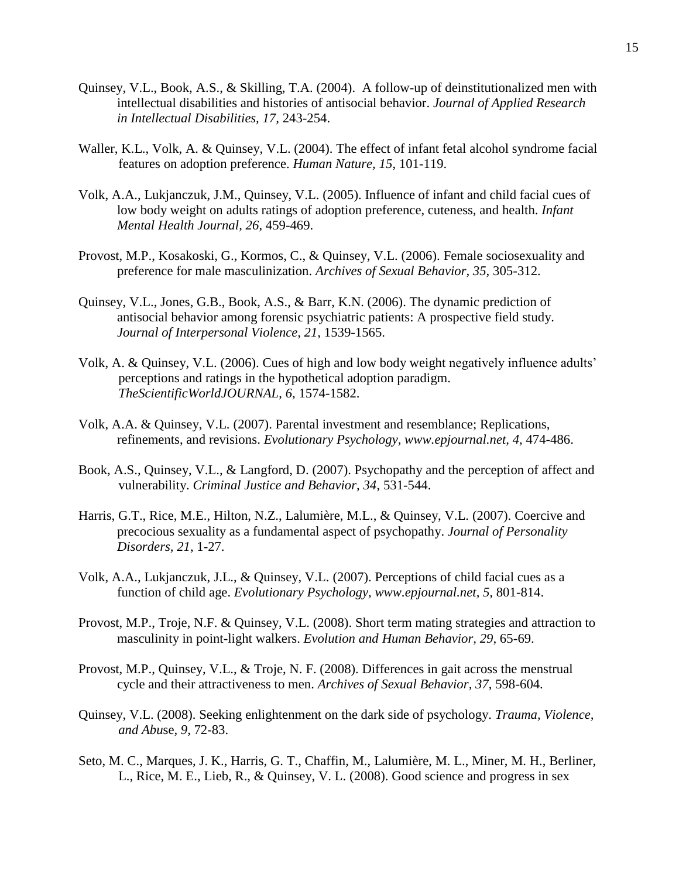- Quinsey, V.L., Book, A.S., & Skilling, T.A. (2004). A follow-up of deinstitutionalized men with intellectual disabilities and histories of antisocial behavior. *Journal of Applied Research in Intellectual Disabilities, 17,* 243-254.
- Waller, K.L., Volk, A. & Quinsey, V.L. (2004). The effect of infant fetal alcohol syndrome facial features on adoption preference. *Human Nature, 15*, 101-119.
- Volk, A.A., Lukjanczuk, J.M., Quinsey, V.L. (2005). Influence of infant and child facial cues of low body weight on adults ratings of adoption preference, cuteness, and health. *Infant Mental Health Journal, 26*, 459-469.
- Provost, M.P., Kosakoski, G., Kormos, C., & Quinsey, V.L. (2006). Female sociosexuality and preference for male masculinization. *Archives of Sexual Behavior, 35,* 305-312.
- Quinsey, V.L., Jones, G.B., Book, A.S., & Barr, K.N. (2006). The dynamic prediction of antisocial behavior among forensic psychiatric patients: A prospective field study. *Journal of Interpersonal Violence, 21,* 1539-1565.
- Volk, A. & Quinsey, V.L. (2006). Cues of high and low body weight negatively influence adults' perceptions and ratings in the hypothetical adoption paradigm. *TheScientificWorldJOURNAL*, *6*, 1574-1582.
- Volk, A.A. & Quinsey, V.L. (2007). Parental investment and resemblance; Replications, refinements, and revisions. *Evolutionary Psychology, www.epjournal.net, 4,* 474-486.
- Book, A.S., Quinsey, V.L., & Langford, D. (2007). Psychopathy and the perception of affect and vulnerability. *Criminal Justice and Behavior, 34*, 531-544.
- Harris, G.T., Rice, M.E., Hilton, N.Z., Lalumière, M.L., & Quinsey, V.L. (2007). Coercive and precocious sexuality as a fundamental aspect of psychopathy. *Journal of Personality Disorders, 21*, 1-27.
- Volk, A.A., Lukjanczuk, J.L., & Quinsey, V.L. (2007). Perceptions of child facial cues as a function of child age. *Evolutionary Psychology, www.epjournal.net, 5,* 801-814.
- Provost, M.P., Troje, N.F. & Quinsey, V.L. (2008). Short term mating strategies and attraction to masculinity in point-light walkers. *Evolution and Human Behavior, 29*, 65-69.
- Provost, M.P., Quinsey, V.L., & Troje, N. F. (2008). Differences in gait across the menstrual cycle and their attractiveness to men. *Archives of Sexual Behavior, 37*, 598-604.
- Quinsey, V.L. (2008). Seeking enlightenment on the dark side of psychology. *Trauma, Violence, and Abu*se*, 9*, 72-83.
- Seto, M. C., Marques, J. K., Harris, G. T., Chaffin, M., Lalumière, M. L., Miner, M. H., Berliner, L., Rice, M. E., Lieb, R., & Quinsey, V. L. (2008). Good science and progress in sex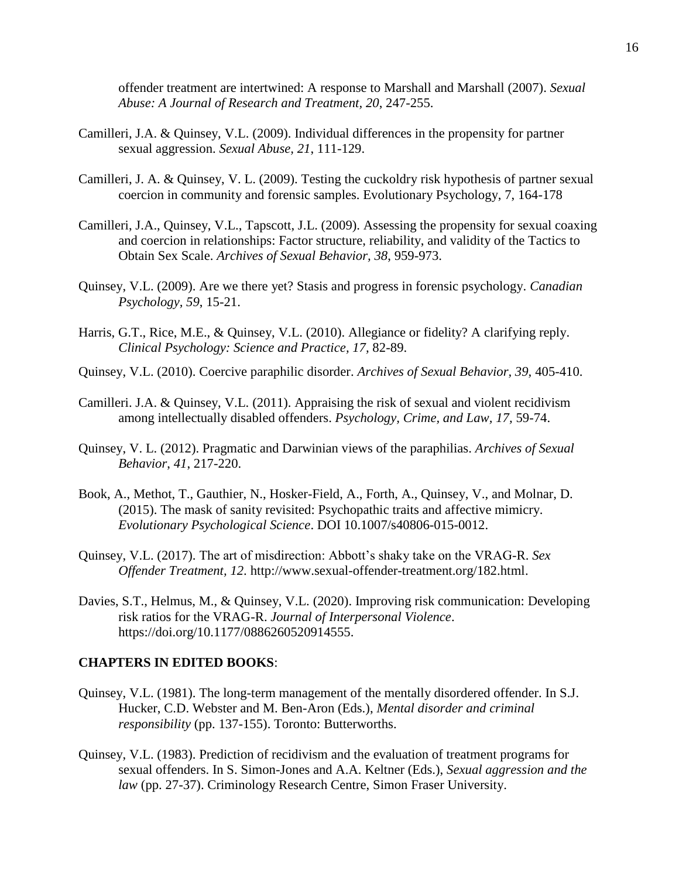offender treatment are intertwined: A response to Marshall and Marshall (2007). *Sexual Abuse: A Journal of Research and Treatment, 20*, 247-255.

- Camilleri, J.A. & Quinsey, V.L. (2009). Individual differences in the propensity for partner sexual aggression. *Sexual Abuse, 21*, 111-129.
- Camilleri, J. A. & Quinsey, V. L. (2009). Testing the cuckoldry risk hypothesis of partner sexual coercion in community and forensic samples. Evolutionary Psychology, 7, 164-178
- Camilleri, J.A., Quinsey, V.L., Tapscott, J.L. (2009). Assessing the propensity for sexual coaxing and coercion in relationships: Factor structure, reliability, and validity of the Tactics to Obtain Sex Scale. *Archives of Sexual Behavior, 38*, 959-973.
- Quinsey, V.L. (2009). Are we there yet? Stasis and progress in forensic psychology. *Canadian Psychology, 59*, 15-21.
- Harris, G.T., Rice, M.E., & Quinsey, V.L. (2010). Allegiance or fidelity? A clarifying reply. *Clinical Psychology: Science and Practice, 17,* 82-89.
- Quinsey, V.L. (2010). Coercive paraphilic disorder. *Archives of Sexual Behavior, 39,* 405-410.
- Camilleri. J.A. & Quinsey, V.L. (2011). Appraising the risk of sexual and violent recidivism among intellectually disabled offenders. *Psychology, Crime, and Law, 17,* 59-74.
- Quinsey, V. L. (2012). Pragmatic and Darwinian views of the paraphilias. *Archives of Sexual Behavior*, *41*, 217-220.
- Book, A., Methot, T., Gauthier, N., Hosker-Field, A., Forth, A., Quinsey, V., and Molnar, D. (2015). The mask of sanity revisited: Psychopathic traits and affective mimicry. *Evolutionary Psychological Science*. DOI 10.1007/s40806-015-0012.
- Quinsey, V.L. (2017). The art of misdirection: Abbott's shaky take on the VRAG-R. *Sex Offender Treatment, 12*. http://www.sexual-offender-treatment.org/182.html.
- Davies, S.T., Helmus, M., & Quinsey, V.L. (2020). Improving risk communication: Developing risk ratios for the VRAG-R. *Journal of Interpersonal Violence*. https://doi.org/10.1177/0886260520914555.

## **CHAPTERS IN EDITED BOOKS**:

- Quinsey, V.L. (1981). The long-term management of the mentally disordered offender. In S.J. Hucker, C.D. Webster and M. Ben-Aron (Eds.), *Mental disorder and criminal responsibility* (pp. 137-155). Toronto: Butterworths.
- Quinsey, V.L. (1983). Prediction of recidivism and the evaluation of treatment programs for sexual offenders. In S. Simon-Jones and A.A. Keltner (Eds.), *Sexual aggression and the law* (pp. 27-37). Criminology Research Centre, Simon Fraser University.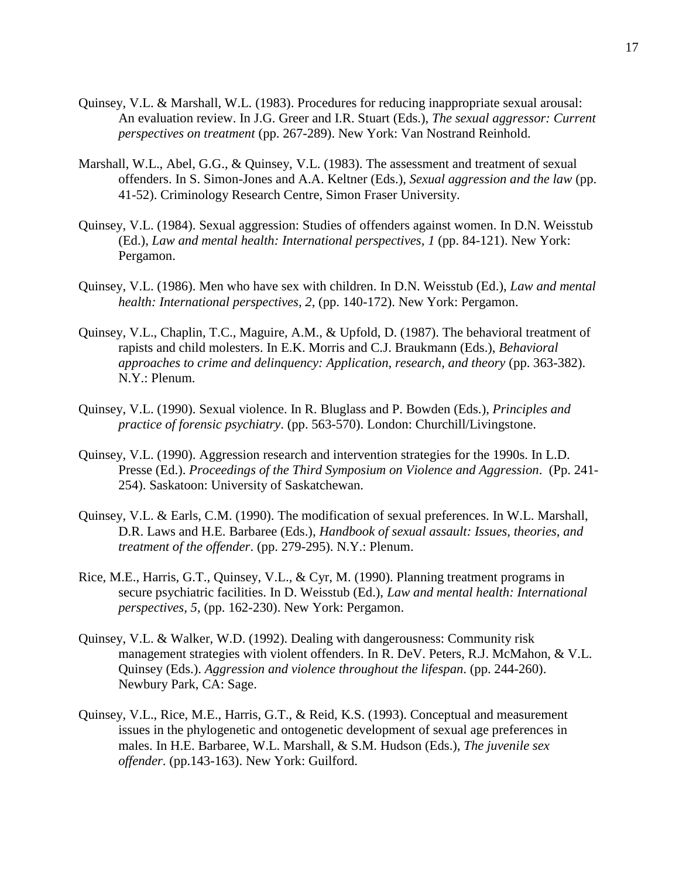- Quinsey, V.L. & Marshall, W.L. (1983). Procedures for reducing inappropriate sexual arousal: An evaluation review. In J.G. Greer and I.R. Stuart (Eds.), *The sexual aggressor: Current perspectives on treatment* (pp. 267-289). New York: Van Nostrand Reinhold.
- Marshall, W.L., Abel, G.G., & Quinsey, V.L. (1983). The assessment and treatment of sexual offenders. In S. Simon-Jones and A.A. Keltner (Eds.), *Sexual aggression and the law* (pp. 41-52). Criminology Research Centre, Simon Fraser University.
- Quinsey, V.L. (1984). Sexual aggression: Studies of offenders against women. In D.N. Weisstub (Ed.), *Law and mental health: International perspectives, 1* (pp. 84-121). New York: Pergamon.
- Quinsey, V.L. (1986). Men who have sex with children. In D.N. Weisstub (Ed.), *Law and mental health: International perspectives, 2*, (pp. 140-172). New York: Pergamon.
- Quinsey, V.L., Chaplin, T.C., Maguire, A.M., & Upfold, D. (1987). The behavioral treatment of rapists and child molesters. In E.K. Morris and C.J. Braukmann (Eds.), *Behavioral approaches to crime and delinquency: Application, research, and theory* (pp. 363-382). N.Y.: Plenum.
- Quinsey, V.L. (1990). Sexual violence. In R. Bluglass and P. Bowden (Eds.), *Principles and practice of forensic psychiatry*. (pp. 563-570). London: Churchill/Livingstone.
- Quinsey, V.L. (1990). Aggression research and intervention strategies for the 1990s. In L.D. Presse (Ed.). *Proceedings of the Third Symposium on Violence and Aggression*. (Pp. 241- 254). Saskatoon: University of Saskatchewan.
- Quinsey, V.L. & Earls, C.M. (1990). The modification of sexual preferences. In W.L. Marshall, D.R. Laws and H.E. Barbaree (Eds.), *Handbook of sexual assault: Issues, theories, and treatment of the offender*. (pp. 279-295). N.Y.: Plenum.
- Rice, M.E., Harris, G.T., Quinsey, V.L., & Cyr, M. (1990). Planning treatment programs in secure psychiatric facilities. In D. Weisstub (Ed.), *Law and mental health: International perspectives, 5*, (pp. 162-230). New York: Pergamon.
- Quinsey, V.L. & Walker, W.D. (1992). Dealing with dangerousness: Community risk management strategies with violent offenders. In R. DeV. Peters, R.J. McMahon, & V.L. Quinsey (Eds.). *Aggression and violence throughout the lifespan*. (pp. 244-260). Newbury Park, CA: Sage.
- Quinsey, V.L., Rice, M.E., Harris, G.T., & Reid, K.S. (1993). Conceptual and measurement issues in the phylogenetic and ontogenetic development of sexual age preferences in males. In H.E. Barbaree, W.L. Marshall, & S.M. Hudson (Eds.), *The juvenile sex offender*. (pp.143-163). New York: Guilford.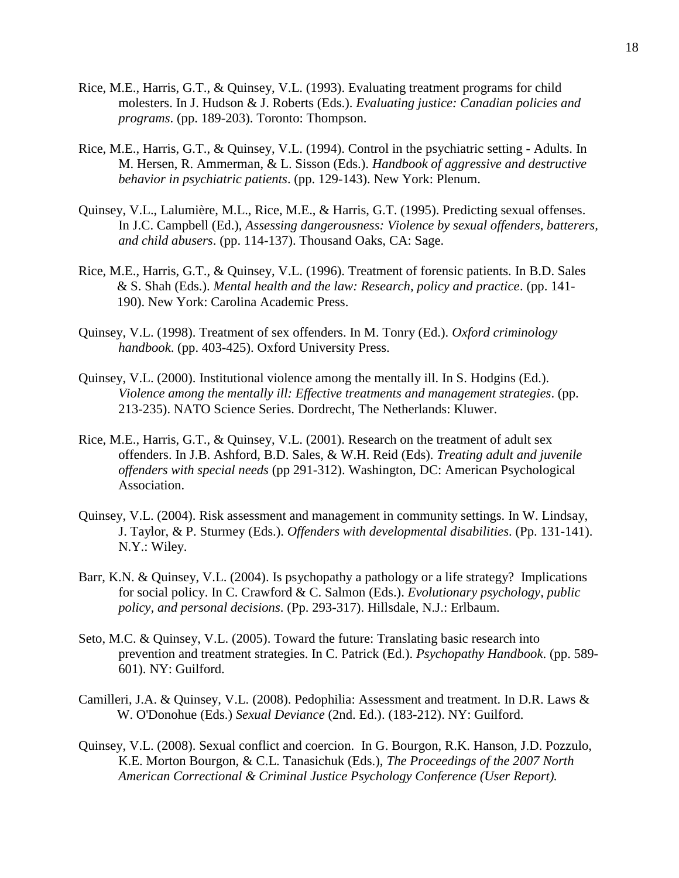- Rice, M.E., Harris, G.T., & Quinsey, V.L. (1993). Evaluating treatment programs for child molesters. In J. Hudson & J. Roberts (Eds.). *Evaluating justice: Canadian policies and programs*. (pp. 189-203). Toronto: Thompson.
- Rice, M.E., Harris, G.T., & Quinsey, V.L. (1994). Control in the psychiatric setting Adults. In M. Hersen, R. Ammerman, & L. Sisson (Eds.). *Handbook of aggressive and destructive behavior in psychiatric patients*. (pp. 129-143). New York: Plenum.
- Quinsey, V.L., Lalumière, M.L., Rice, M.E., & Harris, G.T. (1995). Predicting sexual offenses. In J.C. Campbell (Ed.), *Assessing dangerousness: Violence by sexual offenders, batterers, and child abusers*. (pp. 114-137). Thousand Oaks, CA: Sage.
- Rice, M.E., Harris, G.T., & Quinsey, V.L. (1996). Treatment of forensic patients. In B.D. Sales & S. Shah (Eds.). *Mental health and the law: Research, policy and practice*. (pp. 141- 190). New York: Carolina Academic Press.
- Quinsey, V.L. (1998). Treatment of sex offenders. In M. Tonry (Ed.). *Oxford criminology handbook*. (pp. 403-425). Oxford University Press.
- Quinsey, V.L. (2000). Institutional violence among the mentally ill. In S. Hodgins (Ed.). *Violence among the mentally ill: Effective treatments and management strategies*. (pp. 213-235). NATO Science Series. Dordrecht, The Netherlands: Kluwer.
- Rice, M.E., Harris, G.T., & Quinsey, V.L. (2001). Research on the treatment of adult sex offenders. In J.B. Ashford, B.D. Sales, & W.H. Reid (Eds). *Treating adult and juvenile offenders with special needs* (pp 291-312). Washington, DC: American Psychological Association.
- Quinsey, V.L. (2004). Risk assessment and management in community settings. In W. Lindsay, J. Taylor, & P. Sturmey (Eds.). *Offenders with developmental disabilities*. (Pp. 131-141). N.Y.: Wiley.
- Barr, K.N. & Quinsey, V.L. (2004). Is psychopathy a pathology or a life strategy? Implications for social policy. In C. Crawford & C. Salmon (Eds.). *Evolutionary psychology, public policy, and personal decisions*. (Pp. 293-317). Hillsdale, N.J.: Erlbaum.
- Seto, M.C. & Quinsey, V.L. (2005). Toward the future: Translating basic research into prevention and treatment strategies. In C. Patrick (Ed.). *Psychopathy Handbook*. (pp. 589- 601). NY: Guilford.
- Camilleri, J.A. & Quinsey, V.L. (2008). Pedophilia: Assessment and treatment. In D.R. Laws & W. O'Donohue (Eds.) *Sexual Deviance* (2nd. Ed.). (183-212). NY: Guilford.
- Quinsey, V.L. (2008). Sexual conflict and coercion. In G. Bourgon, R.K. Hanson, J.D. Pozzulo, K.E. Morton Bourgon, & C.L. Tanasichuk (Eds.), *The Proceedings of the 2007 North American Correctional & Criminal Justice Psychology Conference (User Report).*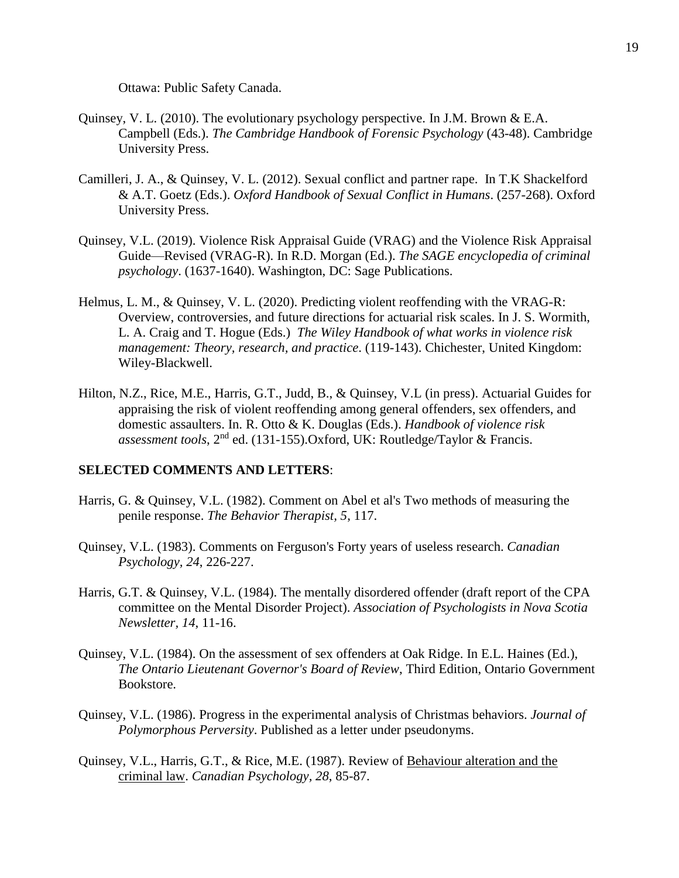Ottawa: Public Safety Canada.

- Quinsey, V. L. (2010). The evolutionary psychology perspective. In J.M. Brown & E.A. Campbell (Eds.). *The Cambridge Handbook of Forensic Psychology* (43-48). Cambridge University Press.
- Camilleri, J. A., & Quinsey, V. L. (2012). Sexual conflict and partner rape. In T.K Shackelford & A.T. Goetz (Eds.). *Oxford Handbook of Sexual Conflict in Humans*. (257-268). Oxford University Press.
- Quinsey, V.L. (2019). Violence Risk Appraisal Guide (VRAG) and the Violence Risk Appraisal Guide—Revised (VRAG-R). In R.D. Morgan (Ed.). *The SAGE encyclopedia of criminal psychology*. (1637-1640). Washington, DC: Sage Publications.
- Helmus, L. M., & Quinsey, V. L. (2020). Predicting violent reoffending with the VRAG-R: Overview, controversies, and future directions for actuarial risk scales. In J. S. Wormith, L. A. Craig and T. Hogue (Eds.) *The Wiley Handbook of what works in violence risk management: Theory, research, and practice*. (119-143). Chichester, United Kingdom: Wiley-Blackwell.
- Hilton, N.Z., Rice, M.E., Harris, G.T., Judd, B., & Quinsey, V.L (in press). Actuarial Guides for appraising the risk of violent reoffending among general offenders, sex offenders, and domestic assaulters. In. R. Otto & K. Douglas (Eds.). *Handbook of violence risk assessment tools*, 2nd ed. (131-155).Oxford, UK: Routledge/Taylor & Francis.

### **SELECTED COMMENTS AND LETTERS**:

- Harris, G. & Quinsey, V.L. (1982). Comment on Abel et al's Two methods of measuring the penile response. *The Behavior Therapist, 5*, 117.
- Quinsey, V.L. (1983). Comments on Ferguson's Forty years of useless research. *Canadian Psychology, 24*, 226-227.
- Harris, G.T. & Quinsey, V.L. (1984). The mentally disordered offender (draft report of the CPA committee on the Mental Disorder Project). *Association of Psychologists in Nova Scotia Newsletter, 14*, 11-16.
- Quinsey, V.L. (1984). On the assessment of sex offenders at Oak Ridge. In E.L. Haines (Ed.), *The Ontario Lieutenant Governor's Board of Review*, Third Edition, Ontario Government Bookstore.
- Quinsey, V.L. (1986). Progress in the experimental analysis of Christmas behaviors. *Journal of Polymorphous Perversity*. Published as a letter under pseudonyms.
- Quinsey, V.L., Harris, G.T., & Rice, M.E. (1987). Review of Behaviour alteration and the criminal law. *Canadian Psychology, 28*, 85-87.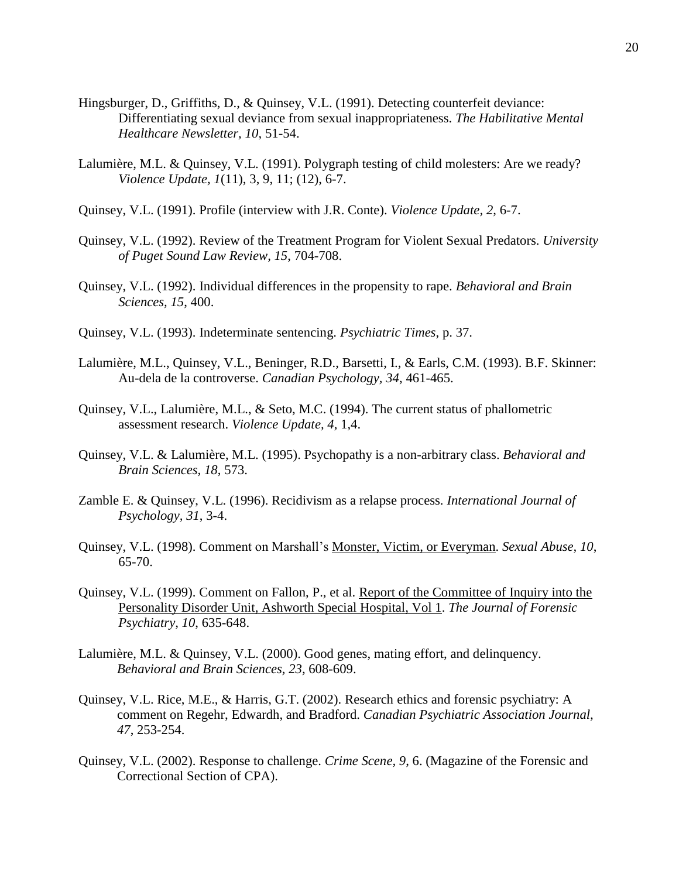- Hingsburger, D., Griffiths, D., & Quinsey, V.L. (1991). Detecting counterfeit deviance: Differentiating sexual deviance from sexual inappropriateness. *The Habilitative Mental Healthcare Newsletter, 10*, 51-54.
- Lalumière, M.L. & Quinsey, V.L. (1991). Polygraph testing of child molesters: Are we ready? *Violence Update, 1*(11), 3, 9, 11; (12), 6-7.
- Quinsey, V.L. (1991). Profile (interview with J.R. Conte). *Violence Update, 2*, 6-7.
- Quinsey, V.L. (1992). Review of the Treatment Program for Violent Sexual Predators. *University of Puget Sound Law Review, 15*, 704-708.
- Quinsey, V.L. (1992). Individual differences in the propensity to rape. *Behavioral and Brain Sciences, 15*, 400.
- Quinsey, V.L. (1993). Indeterminate sentencing. *Psychiatric Times*, p. 37.
- Lalumière, M.L., Quinsey, V.L., Beninger, R.D., Barsetti, I., & Earls, C.M. (1993). B.F. Skinner: Au-dela de la controverse. *Canadian Psychology, 34*, 461-465.
- Quinsey, V.L., Lalumière, M.L., & Seto, M.C. (1994). The current status of phallometric assessment research. *Violence Update, 4*, 1,4.
- Quinsey, V.L. & Lalumière, M.L. (1995). Psychopathy is a non-arbitrary class. *Behavioral and Brain Sciences, 18*, 573.
- Zamble E. & Quinsey, V.L. (1996). Recidivism as a relapse process. *International Journal of Psychology, 31*, 3-4.
- Quinsey, V.L. (1998). Comment on Marshall's Monster, Victim, or Everyman. *Sexual Abuse, 10*, 65-70.
- Quinsey, V.L. (1999). Comment on Fallon, P., et al. Report of the Committee of Inquiry into the Personality Disorder Unit, Ashworth Special Hospital, Vol 1. *The Journal of Forensic Psychiatry, 10*, 635-648.
- Lalumière, M.L. & Quinsey, V.L. (2000). Good genes, mating effort, and delinquency. *Behavioral and Brain Sciences, 23,* 608-609.
- Quinsey, V.L. Rice, M.E., & Harris, G.T. (2002). Research ethics and forensic psychiatry: A comment on Regehr, Edwardh, and Bradford. *Canadian Psychiatric Association Journal, 47*, 253-254.
- Quinsey, V.L. (2002). Response to challenge. *Crime Scene, 9*, 6. (Magazine of the Forensic and Correctional Section of CPA).